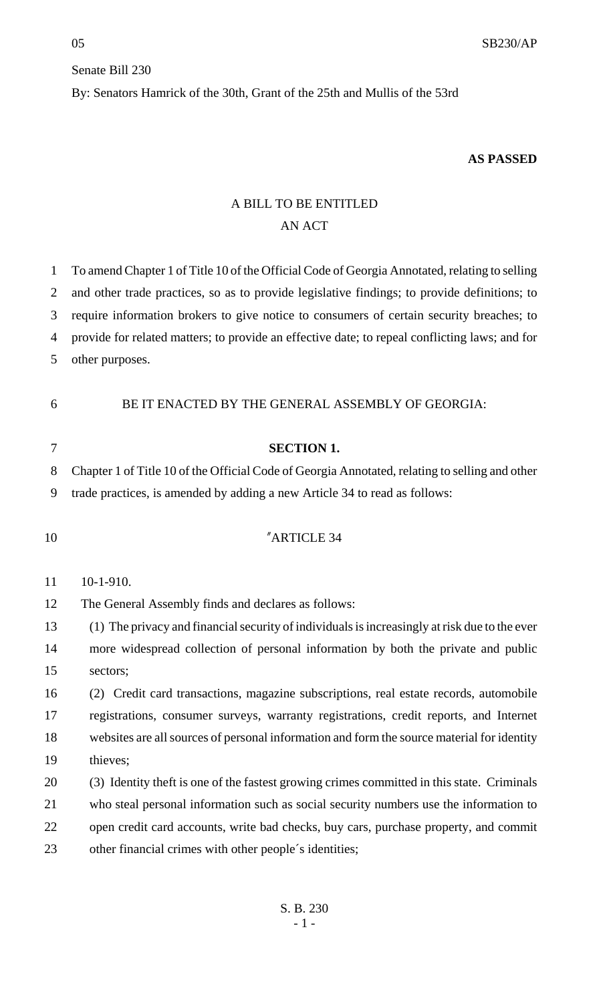#### Senate Bill 230

By: Senators Hamrick of the 30th, Grant of the 25th and Mullis of the 53rd

## **AS PASSED**

# A BILL TO BE ENTITLED AN ACT

| $\mathbf{1}$ | To amend Chapter 1 of Title 10 of the Official Code of Georgia Annotated, relating to selling  |
|--------------|------------------------------------------------------------------------------------------------|
| 2            | and other trade practices, so as to provide legislative findings; to provide definitions; to   |
| 3            | require information brokers to give notice to consumers of certain security breaches; to       |
| 4            | provide for related matters; to provide an effective date; to repeal conflicting laws; and for |
| 5            | other purposes.                                                                                |
| 6            | BE IT ENACTED BY THE GENERAL ASSEMBLY OF GEORGIA:                                              |
| 7            | <b>SECTION 1.</b>                                                                              |
| 8            | Chapter 1 of Title 10 of the Official Code of Georgia Annotated, relating to selling and other |
| 9            | trade practices, is amended by adding a new Article 34 to read as follows:                     |
| 10           | "ARTICLE 34                                                                                    |
| 11           | $10-1-910.$                                                                                    |
| 12           | The General Assembly finds and declares as follows:                                            |
| 13           | (1) The privacy and financial security of individuals is increasingly at risk due to the ever  |
| 14           | more widespread collection of personal information by both the private and public              |
| 15           | sectors;                                                                                       |
| 16           | (2) Credit card transactions, magazine subscriptions, real estate records, automobile          |
| 17           | registrations, consumer surveys, warranty registrations, credit reports, and Internet          |
| 18           | websites are all sources of personal information and form the source material for identity     |
| 19           | thieves;                                                                                       |
| 20           | (3) Identity theft is one of the fastest growing crimes committed in this state. Criminals     |
| 21           | who steal personal information such as social security numbers use the information to          |
| 22           | open credit card accounts, write bad checks, buy cars, purchase property, and commit           |
| 23           | other financial crimes with other people's identities;                                         |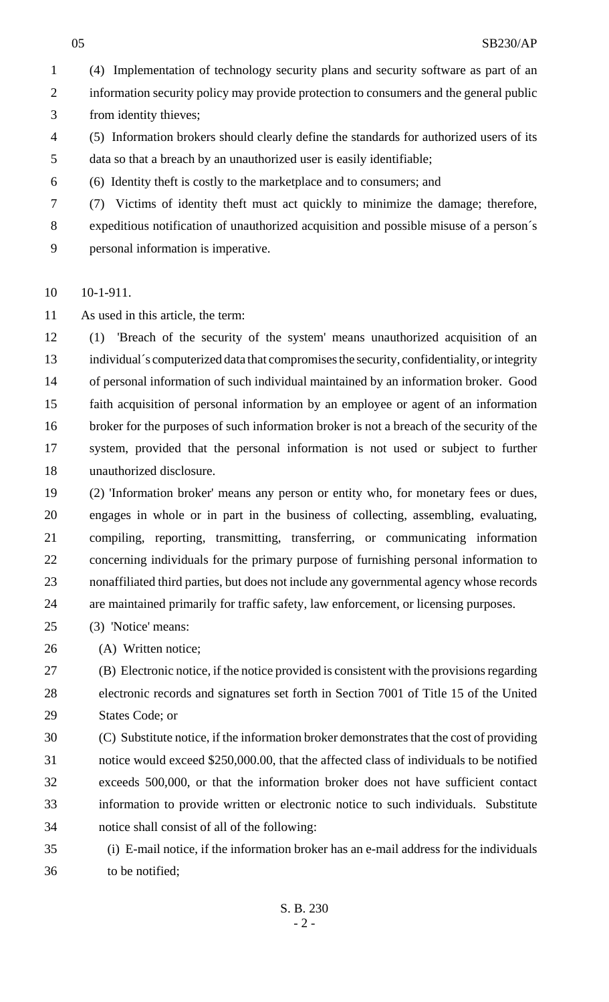- (4) Implementation of technology security plans and security software as part of an information security policy may provide protection to consumers and the general public from identity thieves;
- (5) Information brokers should clearly define the standards for authorized users of its data so that a breach by an unauthorized user is easily identifiable;
- (6) Identity theft is costly to the marketplace and to consumers; and
- (7) Victims of identity theft must act quickly to minimize the damage; therefore,
- expeditious notification of unauthorized acquisition and possible misuse of a person´s personal information is imperative.
- 10-1-911.
- As used in this article, the term:

 (1) 'Breach of the security of the system' means unauthorized acquisition of an individual´s computerized data that compromises the security, confidentiality, or integrity of personal information of such individual maintained by an information broker. Good faith acquisition of personal information by an employee or agent of an information broker for the purposes of such information broker is not a breach of the security of the system, provided that the personal information is not used or subject to further unauthorized disclosure.

- (2) 'Information broker' means any person or entity who, for monetary fees or dues, engages in whole or in part in the business of collecting, assembling, evaluating, compiling, reporting, transmitting, transferring, or communicating information concerning individuals for the primary purpose of furnishing personal information to nonaffiliated third parties, but does not include any governmental agency whose records are maintained primarily for traffic safety, law enforcement, or licensing purposes.
- (3) 'Notice' means:
- (A) Written notice;

 (B) Electronic notice, if the notice provided is consistent with the provisions regarding electronic records and signatures set forth in Section 7001 of Title 15 of the United States Code; or

 (C) Substitute notice, if the information broker demonstrates that the cost of providing notice would exceed \$250,000.00, that the affected class of individuals to be notified exceeds 500,000, or that the information broker does not have sufficient contact information to provide written or electronic notice to such individuals. Substitute notice shall consist of all of the following:

 (i) E-mail notice, if the information broker has an e-mail address for the individuals to be notified;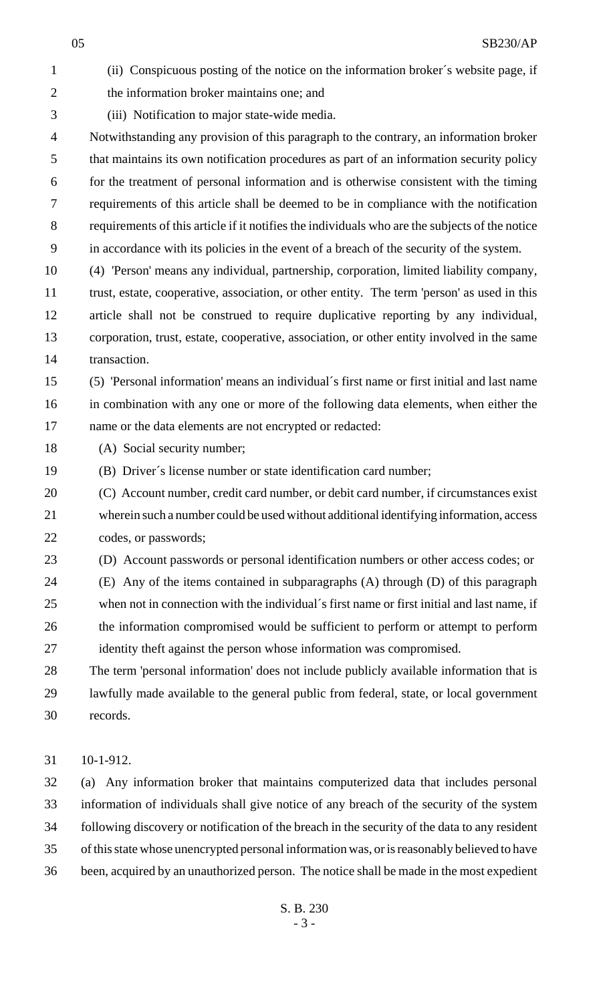$05 \overline{\smash{\big)}\mathop{\mathrm{SB}}\nolimits}$   $\overline{\mathop{\mathrm{SB}}\nolimits}$   $\overline{\mathop{\mathrm{SB}}\nolimits}$   $\overline{\mathop{\mathrm{SB}}\nolimits}$   $\overline{\mathop{\mathrm{SB}}\nolimits}$   $\overline{\mathop{\mathrm{SB}}\nolimits}$   $\overline{\mathop{\mathrm{SB}}\nolimits}$   $\overline{\mathop{\mathrm{SB}}\nolimits}$   $\overline{\mathop{\mathrm{SB}}\nolimits}$   $\overline{\mathop{\mathrm{SB}}\nolimits}$   $\overline{\mathop{\mathrm{SB}}\nolimits}$   $\overline$ 

(ii) Conspicuous posting of the notice on the information broker´s website page, if

the information broker maintains one; and

(iii) Notification to major state-wide media.

 Notwithstanding any provision of this paragraph to the contrary, an information broker that maintains its own notification procedures as part of an information security policy for the treatment of personal information and is otherwise consistent with the timing requirements of this article shall be deemed to be in compliance with the notification requirements of this article if it notifies the individuals who are the subjects of the notice in accordance with its policies in the event of a breach of the security of the system.

 (4) 'Person' means any individual, partnership, corporation, limited liability company, trust, estate, cooperative, association, or other entity. The term 'person' as used in this article shall not be construed to require duplicative reporting by any individual, corporation, trust, estate, cooperative, association, or other entity involved in the same transaction.

 (5) 'Personal information' means an individual´s first name or first initial and last name in combination with any one or more of the following data elements, when either the name or the data elements are not encrypted or redacted:

18 (A) Social security number;

(B) Driver´s license number or state identification card number;

 (C) Account number, credit card number, or debit card number, if circumstances exist wherein such a number could be used without additional identifying information, access codes, or passwords;

(D) Account passwords or personal identification numbers or other access codes; or

 (E) Any of the items contained in subparagraphs (A) through (D) of this paragraph when not in connection with the individual´s first name or first initial and last name, if the information compromised would be sufficient to perform or attempt to perform identity theft against the person whose information was compromised.

 The term 'personal information' does not include publicly available information that is lawfully made available to the general public from federal, state, or local government records.

10-1-912.

 (a) Any information broker that maintains computerized data that includes personal information of individuals shall give notice of any breach of the security of the system following discovery or notification of the breach in the security of the data to any resident of this state whose unencrypted personal information was, or is reasonably believed to have been, acquired by an unauthorized person. The notice shall be made in the most expedient